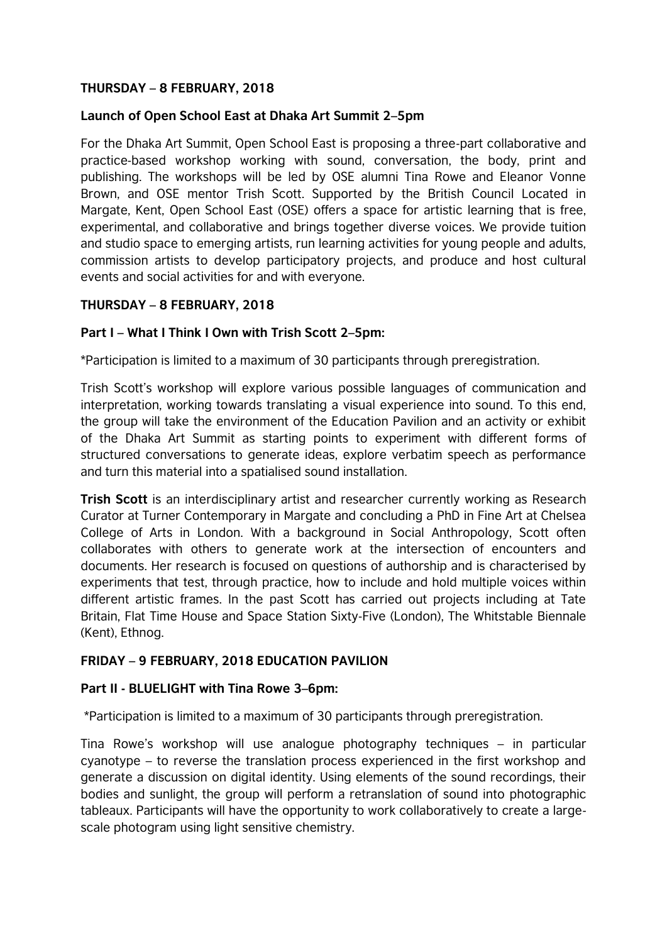## **THURSDAY – 8 FEBRUARY, 2018**

## **Launch of Open School East at Dhaka Art Summit 2–5pm**

For the Dhaka Art Summit, Open School East is proposing a three-part collaborative and practice-based workshop working with sound, conversation, the body, print and publishing. The workshops will be led by OSE alumni Tina Rowe and Eleanor Vonne Brown, and OSE mentor Trish Scott. Supported by the British Council Located in Margate, Kent, Open School East (OSE) offers a space for artistic learning that is free, experimental, and collaborative and brings together diverse voices. We provide tuition and studio space to emerging artists, run learning activities for young people and adults, commission artists to develop participatory projects, and produce and host cultural events and social activities for and with everyone.

# **THURSDAY – 8 FEBRUARY, 2018**

# **Part I – What I Think I Own with Trish Scott 2–5pm:**

\*Participation is limited to a maximum of 30 participants through preregistration.

Trish Scott's workshop will explore various possible languages of communication and interpretation, working towards translating a visual experience into sound. To this end, the group will take the environment of the Education Pavilion and an activity or exhibit of the Dhaka Art Summit as starting points to experiment with different forms of structured conversations to generate ideas, explore verbatim speech as performance and turn this material into a spatialised sound installation.

**Trish Scott** is an interdisciplinary artist and researcher currently working as Research Curator at Turner Contemporary in Margate and concluding a PhD in Fine Art at Chelsea College of Arts in London. With a background in Social Anthropology, Scott often collaborates with others to generate work at the intersection of encounters and documents. Her research is focused on questions of authorship and is characterised by experiments that test, through practice, how to include and hold multiple voices within different artistic frames. In the past Scott has carried out projects including at Tate Britain, Flat Time House and Space Station Sixty-Five (London), The Whitstable Biennale (Kent), Ethnog.

## **FRIDAY – 9 FEBRUARY, 2018 EDUCATION PAVILION**

## **Part II - BLUELIGHT with Tina Rowe 3–6pm:**

\*Participation is limited to a maximum of 30 participants through preregistration.

Tina Rowe's workshop will use analogue photography techniques – in particular cyanotype – to reverse the translation process experienced in the first workshop and generate a discussion on digital identity. Using elements of the sound recordings, their bodies and sunlight, the group will perform a retranslation of sound into photographic tableaux. Participants will have the opportunity to work collaboratively to create a largescale photogram using light sensitive chemistry.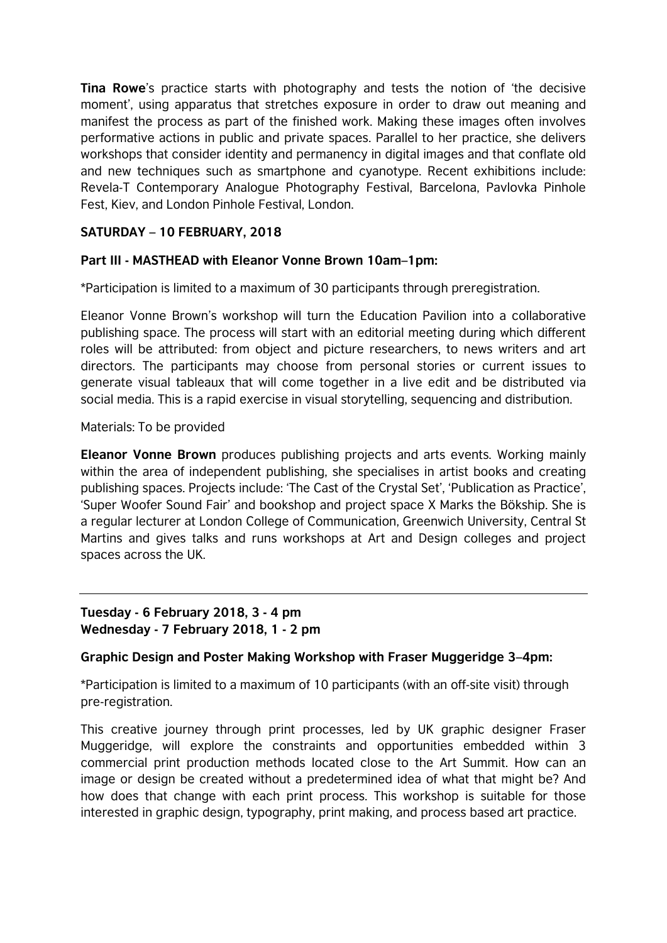**Tina Rowe**'s practice starts with photography and tests the notion of 'the decisive moment', using apparatus that stretches exposure in order to draw out meaning and manifest the process as part of the finished work. Making these images often involves performative actions in public and private spaces. Parallel to her practice, she delivers workshops that consider identity and permanency in digital images and that conflate old and new techniques such as smartphone and cyanotype. Recent exhibitions include: Revela-T Contemporary Analogue Photography Festival, Barcelona, Pavlovka Pinhole Fest, Kiev, and London Pinhole Festival, London.

# **SATURDAY – 10 FEBRUARY, 2018**

## **Part III - MASTHEAD with Eleanor Vonne Brown 10am–1pm:**

\*Participation is limited to a maximum of 30 participants through preregistration.

Eleanor Vonne Brown's workshop will turn the Education Pavilion into a collaborative publishing space. The process will start with an editorial meeting during which different roles will be attributed: from object and picture researchers, to news writers and art directors. The participants may choose from personal stories or current issues to generate visual tableaux that will come together in a live edit and be distributed via social media. This is a rapid exercise in visual storytelling, sequencing and distribution.

#### Materials: To be provided

**Eleanor Vonne Brown** produces publishing projects and arts events. Working mainly within the area of independent publishing, she specialises in artist books and creating publishing spaces. Projects include: 'The Cast of the Crystal Set', 'Publication as Practice', 'Super Woofer Sound Fair' and bookshop and project space X Marks the Bökship. She is a regular lecturer at London College of Communication, Greenwich University, Central St Martins and gives talks and runs workshops at Art and Design colleges and project spaces across the UK.

# **Tuesday - 6 February 2018, 3 - 4 pm Wednesday - 7 February 2018, 1 - 2 pm**

## **Graphic Design and Poster Making Workshop with Fraser Muggeridge 3–4pm:**

\*Participation is limited to a maximum of 10 participants (with an off-site visit) through pre-registration.

This creative journey through print processes, led by UK graphic designer Fraser Muggeridge, will explore the constraints and opportunities embedded within 3 commercial print production methods located close to the Art Summit. How can an image or design be created without a predetermined idea of what that might be? And how does that change with each print process. This workshop is suitable for those interested in graphic design, typography, print making, and process based art practice.